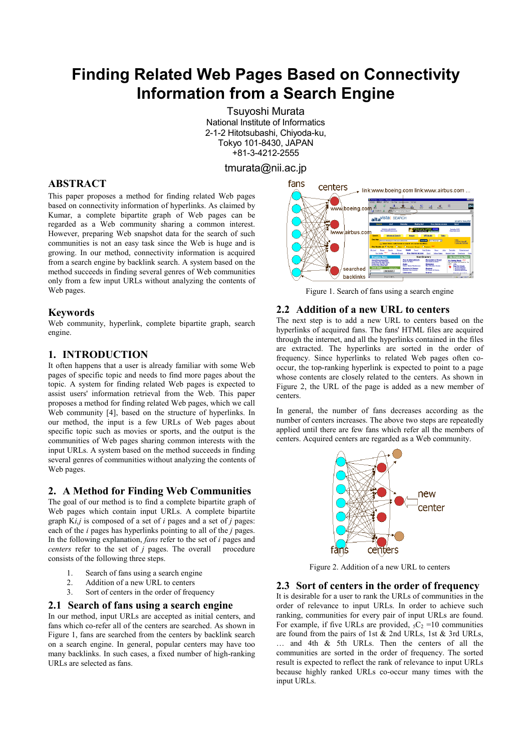# **Finding Related Web Pages Based on Connectivity Information from a Search Engine**

Tsuyoshi Murata National Institute of Informatics 2-1-2 Hitotsubashi, Chiyoda-ku, Tokyo 101-8430, JAPAN +81-3-4212-2555

tmurata@nii.ac.jp

# **ABSTRACT**

This paper proposes a method for finding related Web pages based on connectivity information of hyperlinks. As claimed by Kumar, a complete bipartite graph of Web pages can be regarded as a Web community sharing a common interest. However, preparing Web snapshot data for the search of such communities is not an easy task since the Web is huge and is growing. In our method, connectivity information is acquired from a search engine by backlink search. A system based on the method succeeds in finding several genres of Web communities only from a few input URLs without analyzing the contents of Web pages.

## **Keywords**

Web community, hyperlink, complete bipartite graph, search engine.

## **1. INTRODUCTION**

It often happens that a user is already familiar with some Web pages of specific topic and needs to find more pages about the topic. A system for finding related Web pages is expected to assist users' information retrieval from the Web. This paper proposes a method for finding related Web pages, which we call Web community [4], based on the structure of hyperlinks. In our method, the input is a few URLs of Web pages about specific topic such as movies or sports, and the output is the communities of Web pages sharing common interests with the input URLs. A system based on the method succeeds in finding several genres of communities without analyzing the contents of Web pages.

# **2. A Method for Finding Web Communities**

The goal of our method is to find a complete bipartite graph of Web pages which contain input URLs. A complete bipartite graph K*i,j* is composed of a set of *i* pages and a set of *j* pages: each of the *i* pages has hyperlinks pointing to all of the *j* pages. In the following explanation, *fans* refer to the set of *i* pages and *centers* refer to the set of *j* pages. The overall procedure consists of the following three steps.

- 1. Search of fans using a search engine
- 2. Addition of a new URL to centers
- 3. Sort of centers in the order of frequency

### **2.1 Search of fans using a search engine**

In our method, input URLs are accepted as initial centers, and fans which co-refer all of the centers are searched. As shown in Figure 1, fans are searched from the centers by backlink search on a search engine. In general, popular centers may have too many backlinks. In such cases, a fixed number of high-ranking URLs are selected as fans.



Figure 1. Search of fans using a search engine

## **2.2 Addition of a new URL to centers**

The next step is to add a new URL to centers based on the hyperlinks of acquired fans. The fans' HTML files are acquired through the internet, and all the hyperlinks contained in the files are extracted. The hyperlinks are sorted in the order of frequency. Since hyperlinks to related Web pages often cooccur, the top-ranking hyperlink is expected to point to a page whose contents are closely related to the centers. As shown in Figure 2, the URL of the page is added as a new member of centers.

In general, the number of fans decreases according as the number of centers increases. The above two steps are repeatedly applied until there are few fans which refer all the members of centers. Acquired centers are regarded as a Web community.



Figure 2. Addition of a new URL to centers

## **2.3 Sort of centers in the order of frequency**

It is desirable for a user to rank the URLs of communities in the order of relevance to input URLs. In order to achieve such ranking, communities for every pair of input URLs are found. For example, if five URLs are provided,  ${}_{5}C_{2}$  =10 communities are found from the pairs of 1st  $& 2nd \text{ URLs}$ , 1st  $& 3rd \text{ URLs}$ , … and 4th & 5th URLs. Then the centers of all the communities are sorted in the order of frequency. The sorted result is expected to reflect the rank of relevance to input URLs because highly ranked URLs co-occur many times with the input URLs.